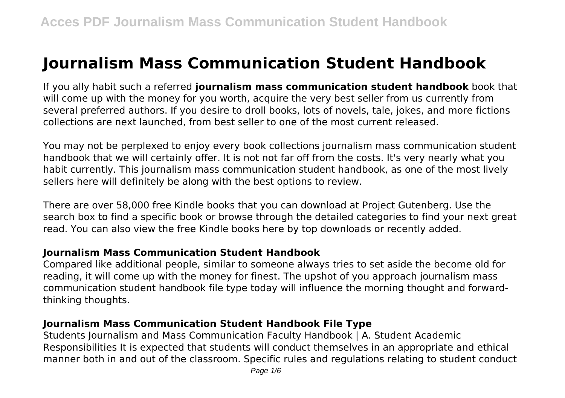# **Journalism Mass Communication Student Handbook**

If you ally habit such a referred **journalism mass communication student handbook** book that will come up with the money for you worth, acquire the very best seller from us currently from several preferred authors. If you desire to droll books, lots of novels, tale, jokes, and more fictions collections are next launched, from best seller to one of the most current released.

You may not be perplexed to enjoy every book collections journalism mass communication student handbook that we will certainly offer. It is not not far off from the costs. It's very nearly what you habit currently. This journalism mass communication student handbook, as one of the most lively sellers here will definitely be along with the best options to review.

There are over 58,000 free Kindle books that you can download at Project Gutenberg. Use the search box to find a specific book or browse through the detailed categories to find your next great read. You can also view the free Kindle books here by top downloads or recently added.

## **Journalism Mass Communication Student Handbook**

Compared like additional people, similar to someone always tries to set aside the become old for reading, it will come up with the money for finest. The upshot of you approach journalism mass communication student handbook file type today will influence the morning thought and forwardthinking thoughts.

## **Journalism Mass Communication Student Handbook File Type**

Students Journalism and Mass Communication Faculty Handbook | A. Student Academic Responsibilities It is expected that students will conduct themselves in an appropriate and ethical manner both in and out of the classroom. Specific rules and regulations relating to student conduct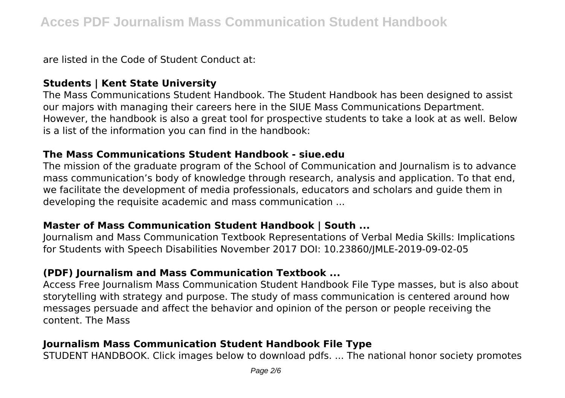are listed in the Code of Student Conduct at:

#### **Students | Kent State University**

The Mass Communications Student Handbook. The Student Handbook has been designed to assist our majors with managing their careers here in the SIUE Mass Communications Department. However, the handbook is also a great tool for prospective students to take a look at as well. Below is a list of the information you can find in the handbook:

#### **The Mass Communications Student Handbook - siue.edu**

The mission of the graduate program of the School of Communication and Journalism is to advance mass communication's body of knowledge through research, analysis and application. To that end, we facilitate the development of media professionals, educators and scholars and guide them in developing the requisite academic and mass communication ...

#### **Master of Mass Communication Student Handbook | South ...**

Journalism and Mass Communication Textbook Representations of Verbal Media Skills: Implications for Students with Speech Disabilities November 2017 DOI: 10.23860/JMLE-2019-09-02-05

## **(PDF) Journalism and Mass Communication Textbook ...**

Access Free Journalism Mass Communication Student Handbook File Type masses, but is also about storytelling with strategy and purpose. The study of mass communication is centered around how messages persuade and affect the behavior and opinion of the person or people receiving the content. The Mass

# **Journalism Mass Communication Student Handbook File Type**

STUDENT HANDBOOK. Click images below to download pdfs. ... The national honor society promotes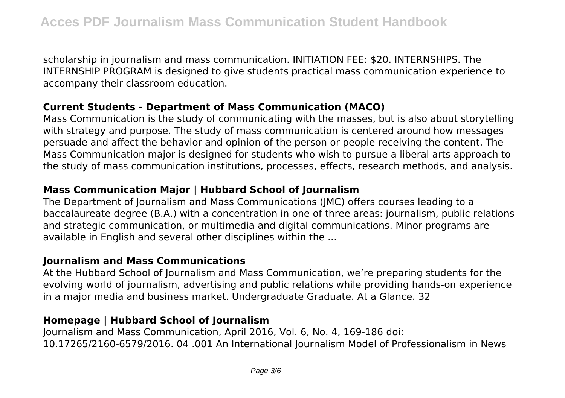scholarship in journalism and mass communication. INITIATION FEE: \$20. INTERNSHIPS. The INTERNSHIP PROGRAM is designed to give students practical mass communication experience to accompany their classroom education.

#### **Current Students - Department of Mass Communication (MACO)**

Mass Communication is the study of communicating with the masses, but is also about storytelling with strategy and purpose. The study of mass communication is centered around how messages persuade and affect the behavior and opinion of the person or people receiving the content. The Mass Communication major is designed for students who wish to pursue a liberal arts approach to the study of mass communication institutions, processes, effects, research methods, and analysis.

# **Mass Communication Major | Hubbard School of Journalism**

The Department of Journalism and Mass Communications (JMC) offers courses leading to a baccalaureate degree (B.A.) with a concentration in one of three areas: journalism, public relations and strategic communication, or multimedia and digital communications. Minor programs are available in English and several other disciplines within the ...

#### **Journalism and Mass Communications**

At the Hubbard School of Journalism and Mass Communication, we're preparing students for the evolving world of journalism, advertising and public relations while providing hands-on experience in a major media and business market. Undergraduate Graduate. At a Glance. 32

## **Homepage | Hubbard School of Journalism**

Journalism and Mass Communication, April 2016, Vol. 6, No. 4, 169-186 doi: 10.17265/2160-6579/2016. 04 .001 An International Journalism Model of Professionalism in News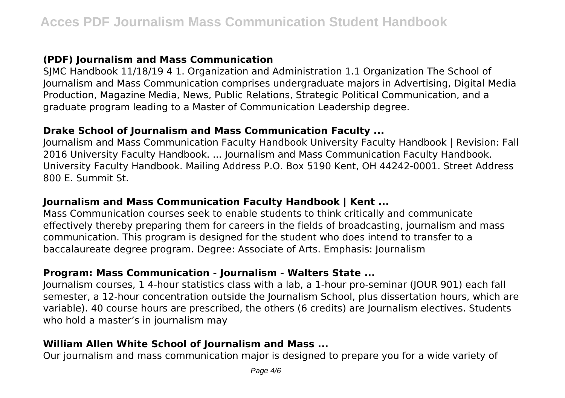# **(PDF) Journalism and Mass Communication**

SJMC Handbook 11/18/19 4 1. Organization and Administration 1.1 Organization The School of Journalism and Mass Communication comprises undergraduate majors in Advertising, Digital Media Production, Magazine Media, News, Public Relations, Strategic Political Communication, and a graduate program leading to a Master of Communication Leadership degree.

#### **Drake School of Journalism and Mass Communication Faculty ...**

Journalism and Mass Communication Faculty Handbook University Faculty Handbook | Revision: Fall 2016 University Faculty Handbook. ... Journalism and Mass Communication Faculty Handbook. University Faculty Handbook. Mailing Address P.O. Box 5190 Kent, OH 44242-0001. Street Address 800 E. Summit St.

## **Journalism and Mass Communication Faculty Handbook | Kent ...**

Mass Communication courses seek to enable students to think critically and communicate effectively thereby preparing them for careers in the fields of broadcasting, journalism and mass communication. This program is designed for the student who does intend to transfer to a baccalaureate degree program. Degree: Associate of Arts. Emphasis: Journalism

## **Program: Mass Communication - Journalism - Walters State ...**

Journalism courses, 1 4-hour statistics class with a lab, a 1-hour pro-seminar (JOUR 901) each fall semester, a 12-hour concentration outside the Journalism School, plus dissertation hours, which are variable). 40 course hours are prescribed, the others (6 credits) are Journalism electives. Students who hold a master's in journalism may

## **William Allen White School of Journalism and Mass ...**

Our journalism and mass communication major is designed to prepare you for a wide variety of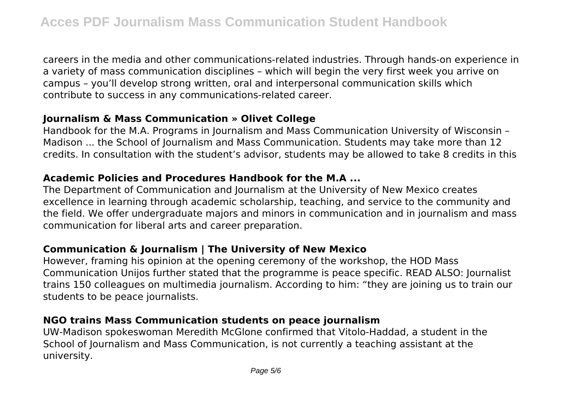careers in the media and other communications-related industries. Through hands-on experience in a variety of mass communication disciplines – which will begin the very first week you arrive on campus – you'll develop strong written, oral and interpersonal communication skills which contribute to success in any communications-related career.

#### **Journalism & Mass Communication » Olivet College**

Handbook for the M.A. Programs in Journalism and Mass Communication University of Wisconsin – Madison ... the School of Journalism and Mass Communication. Students may take more than 12 credits. In consultation with the student's advisor, students may be allowed to take 8 credits in this

#### **Academic Policies and Procedures Handbook for the M.A ...**

The Department of Communication and Journalism at the University of New Mexico creates excellence in learning through academic scholarship, teaching, and service to the community and the field. We offer undergraduate majors and minors in communication and in journalism and mass communication for liberal arts and career preparation.

# **Communication & Journalism | The University of New Mexico**

However, framing his opinion at the opening ceremony of the workshop, the HOD Mass Communication Unijos further stated that the programme is peace specific. READ ALSO: Journalist trains 150 colleagues on multimedia journalism. According to him: "they are joining us to train our students to be peace journalists.

## **NGO trains Mass Communication students on peace journalism**

UW-Madison spokeswoman Meredith McGlone confirmed that Vitolo-Haddad, a student in the School of Journalism and Mass Communication, is not currently a teaching assistant at the university.